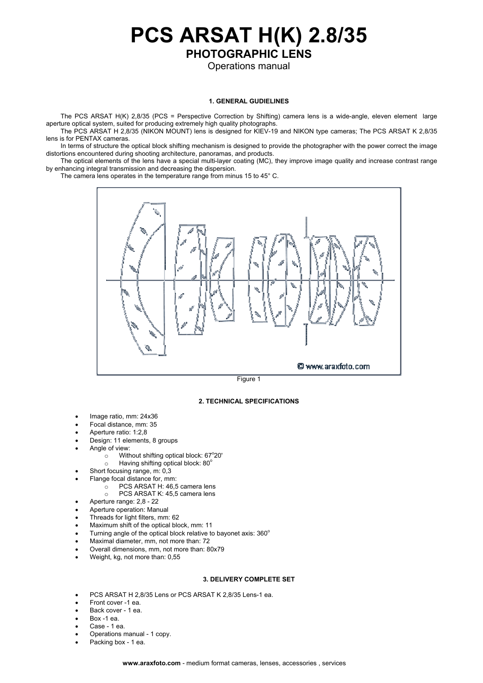**PCS ARSAT H(K) 2.8/35 PHOTOGRAPHIC LENS** 

Operations manual

## **1. GENERAL GUDIELINES**

The PCS ARSAT H(K) 2,8/35 (PCS = Perspective Correction by Shifting) camera lens is a wide-angle, eleven element large aperture optical system, suited for producing extremely high quality photographs.

The PCS ARSAT H 2,8/35 (NIKON MOUNT) lens is designed for KIEV-19 and NIKON type cameras; The PCS ARSAT K 2,8/35 lens is for PENTAX cameras.

In terms of structure the optical block shifting mechanism is designed to provide the photographer with the power correct the image distortions encountered during shooting architecture, panoramas, and products.

The optical elements of the lens have a special multi-layer coating (МС), they improve image quality and increase contrast range by enhancing integral transmission and decreasing the dispersion.

The camera lens operates in the temperature range from minus 15 to 45° C.





## **2. TECHNICAL SPECIFICATIONS**

- Image ratio, mm: 24х36
- Focal distance, mm: 35
- Aperture ratio: 1:2,8
- Design: 11 elements, 8 groups
- Angle of view:
	- $\circ$  Without shifting optical block: 67°20'
	- o Having shifting optical block: 80°
- Short focusing range, m: 0,3
- Flange focal distance for, mm:
	- $\overline{\circ}$  PCS ARSAT H: 46,5 camera lens
		- PCS ARSAT K: 45,5 camera lens
- Aperture range: 2,8 22
- Aperture operation: Manual
- Threads for light filters, mm: 62
- Maximum shift of the optical block, mm: 11
- Turning angle of the optical block relative to bayonet axis: 360°
- Maximal diameter, mm, not more than: 72
- Overall dimensions, mm, not more than: 80х79
- Weight, kg, not more than: 0,55

## **3. DELIVERY COMPLETE SET**

- PCS ARSAT H 2,8/35 Lens or PCS ARSAT K 2,8/35 Lens-1 ea.
- Front cover -1 ea.
- Back cover 1 ea.
- Box -1 ea.
- Case 1 ea.
- Operations manual 1 copy.
- Packing box 1 ea.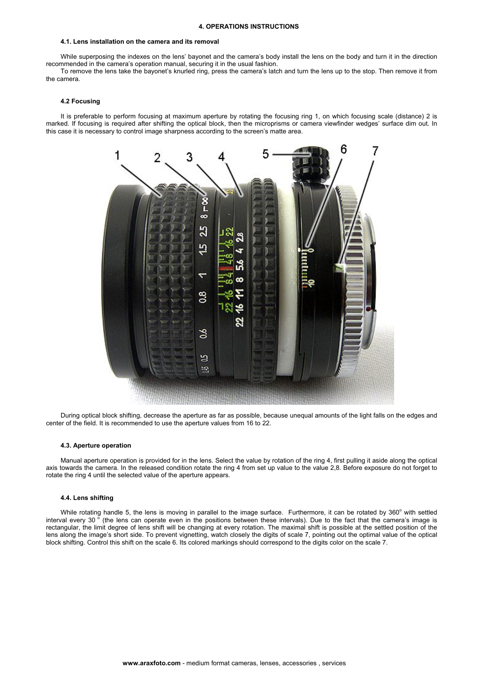#### **4. OPERATIONS INSTRUCTIONS**

## **4.1. Lens installation on the camera and its removal**

While superposing the indexes on the lens' bayonet and the camera's body install the lens on the body and turn it in the direction recommended in the camera's operation manual, securing it in the usual fashion.

To remove the lens take the bayonet's knurled ring, press the camera's latch and turn the lens up to the stop. Then remove it from the camera.

## **4.2 Focusing**

It is preferable to perform focusing at maximum aperture by rotating the focusing ring 1, on which focusing scale (distance) 2 is marked. If focusing is required after shifting the optical block, then the microprisms or camera viewfinder wedges' surface dim out. In this case it is necessary to control image sharpness according to the screen's matte area.



During optical block shifting, decrease the aperture as far as possible, because unequal amounts of the light falls on the edges and center of the field. It is recommended to use the aperture values from 16 to 22.

#### **4.3. Aperture operation**

Manual aperture operation is provided for in the lens. Select the value by rotation of the ring 4, first pulling it aside along the optical axis towards the camera. In the released condition rotate the ring 4 from set up value to the value 2,8. Before exposure do not forget to rotate the ring 4 until the selected value of the aperture appears.

#### **4.4. Lens shifting**

While rotating handle 5, the lens is moving in parallel to the image surface. Furthermore, it can be rotated by 360 $^{\circ}$  with settled interval every 30  $\delta$  (the lens can operate even in the positions between these intervals). Due to the fact that the camera's image is rectangular, the limit degree of lens shift will be changing at every rotation. The maximal shift is possible at the settled position of the lens along the image's short side. To prevent vignetting, watch closely the digits of scale 7, pointing out the optimal value of the optical block shifting. Control this shift on the scale 6. Its colored markings should correspond to the digits color on the scale 7.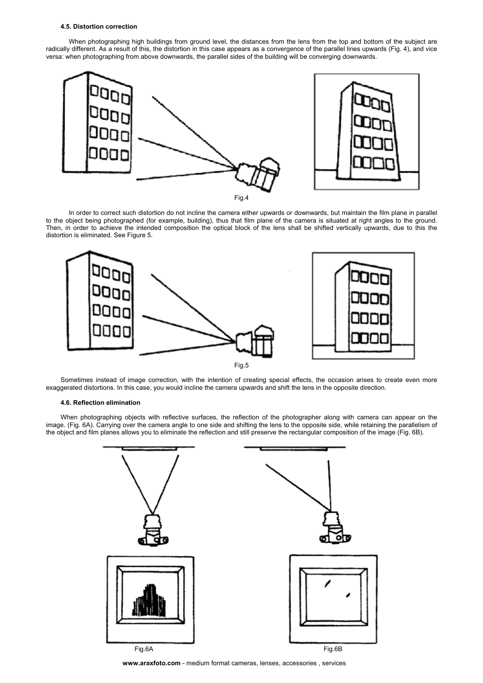### **4.5. Distortion correction**

When photographing high buildings from ground level, the distances from the lens from the top and bottom of the subject are radically different. As a result of this, the distortion in this case appears as a convergence of the parallel lines upwards (Fig. 4), and vice versa: when photographing from above downwards, the parallel sides of the building will be converging downwards.



Fig.4

In order to correct such distortion do not incline the camera either upwards or downwards, but maintain the film plane in parallel to the object being photographed (for example, building), thus that film plane of the camera is situated at right angles to the ground. Then, in order to achieve the intended composition the optical block of the lens shall be shifted vertically upwards, due to this the distortion is eliminated. See Figure 5.



Sometimes instead of image correction, with the intention of creating special effects, the occasion arises to create even more exaggerated distortions. In this case, you would incline the camera upwards and shift the lens in the opposite direction.

## **4.6. Reflection elimination**

When photographing objects with reflective surfaces, the reflection of the photographer along with camera can appear on the image. (Fig. 6А). Carrying over the camera angle to one side and shifting the lens to the opposite side, while retaining the parallelism of the object and film planes allows you to eliminate the reflection and still preserve the rectangular composition of the image (Fig. 6B).



**www.araxfoto.com** - medium format cameras, lenses, accessories , services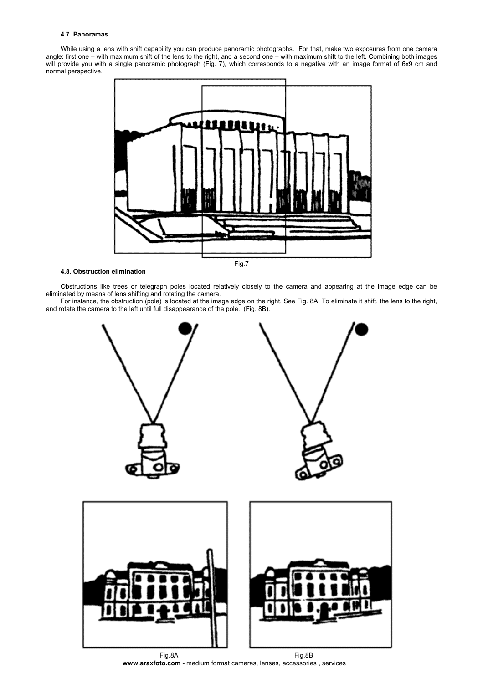## **4.7. Panoramas**

While using a lens with shift capability you can produce panoramic photographs. For that, make two exposures from one camera angle: first one – with maximum shift of the lens to the right, and a second one – with maximum shift to the left. Combining both images will provide you with a single panoramic photograph (Fig. 7), which corresponds to a negative with an image format of 6х9 сm and normal perspective.



# **4.8. Obstruction elimination**

Obstructions like trees or telegraph poles located relatively closely to the camera and appearing at the image edge can be eliminated by means of lens shifting and rotating the camera.

For instance, the obstruction (pole) is located at the image edge on the right. See Fig. 8А. To eliminate it shift, the lens to the right, and rotate the camera to the left until full disappearance of the pole. (Fig. 8B).



**www.araxfoto.com** - medium format cameras, lenses, accessories , services Fig.8А Fig.8B